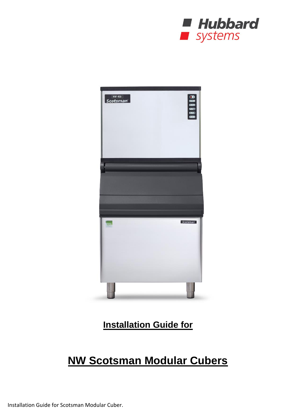



**Installation Guide for**

# **NW Scotsman Modular Cubers**

Installation Guide for Scotsman Modular Cuber.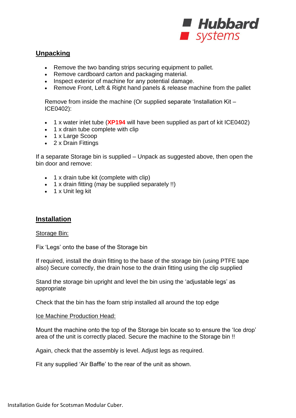

# **Unpacking**

- Remove the two banding strips securing equipment to pallet.
- Remove cardboard carton and packaging material.
- Inspect exterior of machine for any potential damage.
- Remove Front, Left & Right hand panels & release machine from the pallet

Remove from inside the machine (Or supplied separate 'Installation Kit – ICE0402):

- 1 x water inlet tube (**XP194** will have been supplied as part of kit ICE0402)
- 1 x drain tube complete with clip
- 1 x Large Scoop
- 2 x Drain Fittings

If a separate Storage bin is supplied – Unpack as suggested above, then open the bin door and remove:

- 1 x drain tube kit (complete with clip)
- 1 x drain fitting (may be supplied separately !!)
- $\bullet$  1 x Unit leg kit

### **Installation**

#### Storage Bin:

Fix 'Legs' onto the base of the Storage bin

If required, install the drain fitting to the base of the storage bin (using PTFE tape also) Secure correctly, the drain hose to the drain fitting using the clip supplied

Stand the storage bin upright and level the bin using the 'adjustable legs' as appropriate

Check that the bin has the foam strip installed all around the top edge

#### Ice Machine Production Head:

Mount the machine onto the top of the Storage bin locate so to ensure the 'Ice drop' area of the unit is correctly placed. Secure the machine to the Storage bin !!

Again, check that the assembly is level. Adjust legs as required.

Fit any supplied 'Air Baffle' to the rear of the unit as shown.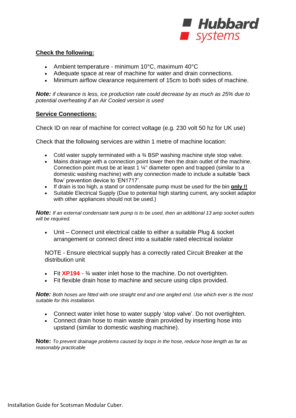

#### **Check the following:**

- Ambient temperature minimum 10°C, maximum 40°C
- Adequate space at rear of machine for water and drain connections.
- Minimum airflow clearance requirement of 15cm to both sides of machine.

*Note: if clearance is less, ice production rate could decrease by as much as 25% due to potential overheating if an Air Cooled version is used*

#### **Service Connections:**

Check ID on rear of machine for correct voltage (e.g. 230 volt 50 hz for UK use)

Check that the following services are within 1 metre of machine location:

- Cold water supply terminated with a  $\frac{3}{4}$  BSP washing machine style stop valve.
- Mains drainage with a connection point lower then the drain outlet of the machine. Connection point must be at least 1 ¼" diameter open and trapped (similar to a domestic washing machine) with any connection made to include a suitable 'back flow' prevention device to 'EN1717'.
- If drain is too high, a stand or condensate pump must be used for the bin **only !!**
- Suitable Electrical Supply (Due to potential high starting current, any socket adaptor with other appliances should not be used.)

*Note: If an external condensate tank pump is to be used, then an additional 13 amp socket outlets will be required.*

 Unit – Connect unit electrical cable to either a suitable Plug & socket arrangement or connect direct into a suitable rated electrical isolator

NOTE - Ensure electrical supply has a correctly rated Circuit Breaker at the distribution unit

- Fit **XP194**  ¾ water inlet hose to the machine. Do not overtighten.
- Fit flexible drain hose to machine and secure using clips provided.

*Note: Both hoses are fitted with one straight end and one angled end. Use which ever is the most suitable for this installation.*

- Connect water inlet hose to water supply 'stop valve'. Do not overtighten.
- Connect drain hose to main waste drain provided by inserting hose into upstand (similar to domestic washing machine).

**Note:** *To prevent drainage problems caused by loops in the hose, reduce hose length as far as reasonably practicable*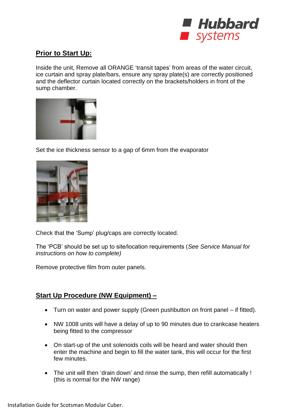

# **Prior to Start Up:**

Inside the unit, Remove all ORANGE 'transit tapes' from areas of the water circuit, ice curtain and spray plate/bars, ensure any spray plate(s) are correctly positioned and the deflector curtain located correctly on the brackets/holders in front of the sump chamber.



Set the ice thickness sensor to a gap of 6mm from the evaporator



Check that the 'Sump' plug/caps are correctly located.

The 'PCB' should be set up to site/location requirements (*See Service Manual for instructions on how to complete)*

Remove protective film from outer panels.

# **Start Up Procedure (NW Equipment) –**

- Turn on water and power supply (Green pushbutton on front panel if fitted).
- NW 1008 units will have a delay of up to 90 minutes due to crankcase heaters being fitted to the compressor
- On start-up of the unit solenoids coils will be heard and water should then enter the machine and begin to fill the water tank, this will occur for the first few minutes.
- The unit will then 'drain down' and rinse the sump, then refill automatically ! (this is normal for the NW range)